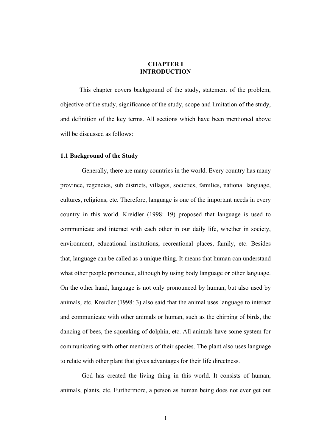# **CHAPTER I INTRODUCTION**

This chapter covers background of the study, statement of the problem, objective of the study, significance of the study, scope and limitation of the study, and definition of the key terms. All sections which have been mentioned above will be discussed as follows:

#### **1.1 Background of the Study**

Generally, there are many countries in the world. Every country has many province, regencies, sub districts, villages, societies, families, national language, cultures, religions, etc. Therefore, language is one of the important needs in every country in this world. Kreidler (1998: 19) proposed that language is used to communicate and interact with each other in our daily life, whether in society, environment, educational institutions, recreational places, family, etc. Besides that, language can be called as a unique thing. It means that human can understand what other people pronounce, although by using body language or other language. On the other hand, language is not only pronounced by human, but also used by animals, etc. Kreidler (1998: 3) also said that the animal uses language to interact and communicate with other animals or human, such as the chirping of birds, the dancing of bees, the squeaking of dolphin, etc. All animals have some system for communicating with other members of their species. The plant also uses language to relate with other plant that gives advantages for their life directness.

God has created the living thing in this world. It consists of human, animals, plants, etc. Furthermore, a person as human being does not ever get out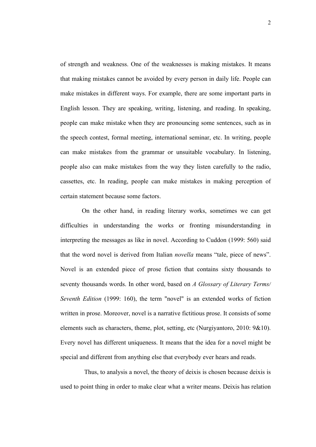of strength and weakness. One of the weaknesses is making mistakes. It means that making mistakes cannot be avoided by every person in daily life. People can make mistakes in different ways. For example, there are some important parts in English lesson. They are speaking, writing, listening, and reading. In speaking, people can make mistake when they are pronouncing some sentences, such as in the speech contest, formal meeting, international seminar, etc. In writing, people can make mistakes from the grammar or unsuitable vocabulary. In listening, people also can make mistakes from the way they listen carefully to the radio, cassettes, etc. In reading, people can make mistakes in making perception of certain statement because some factors.

On the other hand, in reading literary works, sometimes we can get difficulties in understanding the works or fronting misunderstanding in interpreting the messages as like in novel. According to Cuddon (1999: 560) said that the word novel is derived from Italian *novella* means "tale, piece of news". Novel is an extended piece of prose fiction that contains sixty thousands to seventy thousands words. In other word, based on *A Glossary of Literary Terms/ Seventh Edition* (1999: 160), the term "novel" is an extended works of fiction written in prose. Moreover, novel is a narrative fictitious prose. It consists of some elements such as characters, theme, plot, setting, etc (Nurgiyantoro, 2010: 9&10). Every novel has different uniqueness. It means that the idea for a novel might be special and different from anything else that everybody ever hears and reads.

Thus, to analysis a novel, the theory of deixis is chosen because deixis is used to point thing in order to make clear what a writer means. Deixis has relation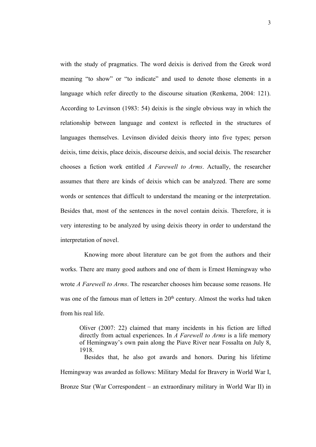with the study of pragmatics. The word deixis is derived from the Greek word meaning "to show" or "to indicate" and used to denote those elements in a language which refer directly to the discourse situation (Renkema, 2004: 121). According to Levinson (1983: 54) deixis is the single obvious way in which the relationship between language and context is reflected in the structures of languages themselves. Levinson divided deixis theory into five types; person deixis, time deixis, place deixis, discourse deixis, and social deixis. The researcher chooses a fiction work entitled *A Farewell to Arms*. Actually, the researcher assumes that there are kinds of deixis which can be analyzed. There are some words or sentences that difficult to understand the meaning or the interpretation. Besides that, most of the sentences in the novel contain deixis. Therefore, it is very interesting to be analyzed by using deixis theory in order to understand the interpretation of novel.

Knowing more about literature can be got from the authors and their works. There are many good authors and one of them is Ernest Hemingway who wrote *A Farewell to Arms*. The researcher chooses him because some reasons. He was one of the famous man of letters in 20<sup>th</sup> century. Almost the works had taken from his real life.

Oliver (2007: 22) claimed that many incidents in his fiction are lifted directly from actual experiences. In *A Farewell to Arms* is a life memory of Hemingway's own pain along the Piave River near Fossalta on July 8, 1918.

Besides that, he also got awards and honors. During his lifetime Hemingway was awarded as follows: Military Medal for Bravery in World War I, Bronze Star (War Correspondent – an extraordinary military in World War II) in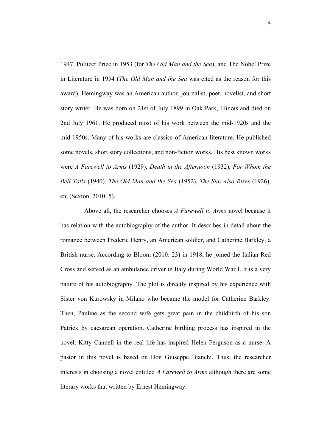1947, Pulitzer Prize in 1953 (for *The Old Man and the Sea*), and The Nobel Prize in Literature in 1954 (*The Old Man and the Sea* was cited as the reason for this award). Hemingway was an American author, journalist, poet, novelist, and short story writer. He was born on 21st of July 1899 in Oak Park, Illinois and died on 2nd July 1961. He produced most of his work between the mid-1920s and the mid-1950s. Many of his works are classics of American literature. He published some novels, short story collections, and non-fiction works. His best known works were *A Farewell to Arms* (1929), *Death in the Afternoon* (1932), *For Whom the Bell Tolls* (1940), *The Old Man and the Sea* (1952), *The Sun Also Rises* (1926), etc (Sexton, 2010: 5).

Above all, the researcher chooses *A Farewell to Arms* novel because it has relation with the autobiography of the author. It describes in detail about the romance between Frederic Henry, an American soldier, and Catherine Barkley, a British nurse. According to Bloom (2010: 23) in 1918, he joined the Italian Red Cross and served as an ambulance driver in Italy during World War I. It is a very nature of his autobiography. The plot is directly inspired by his experience with Sister von Kurowsky in Milano who became the model for Catherine Barkley. Then, Pauline as the second wife gets great pain in the childbirth of his son Patrick by caesarean operation. Catherine birthing process has inspired in the novel. Kitty Cannell in the real life has inspired Helen Ferguson as a nurse. A pastor in this novel is based on Don Giuseppe Bianchi. Thus, the researcher interests in choosing a novel entitled *A Farewell to Arms* although there are some literary works that written by Ernest Hemingway.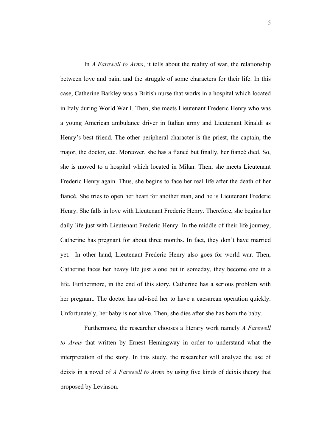In *A Farewell to Arms*, it tells about the reality of war, the relationship between love and pain, and the struggle of some characters for their life. In this case, Catherine Barkley was a British nurse that works in a hospital which located in Italy during World War I. Then, she meets Lieutenant Frederic Henry who was a young American ambulance driver in Italian army and Lieutenant Rinaldi as Henry's best friend. The other peripheral character is the priest, the captain, the major, the doctor, etc. Moreover, she has a fiancé but finally, her fiancé died. So, she is moved to a hospital which located in Milan. Then, she meets Lieutenant Frederic Henry again. Thus, she begins to face her real life after the death of her fiancé. She tries to open her heart for another man, and he is Lieutenant Frederic Henry. She falls in love with Lieutenant Frederic Henry. Therefore, she begins her daily life just with Lieutenant Frederic Henry. In the middle of their life journey, Catherine has pregnant for about three months. In fact, they don't have married yet. In other hand, Lieutenant Frederic Henry also goes for world war. Then, Catherine faces her heavy life just alone but in someday, they become one in a life. Furthermore, in the end of this story, Catherine has a serious problem with her pregnant. The doctor has advised her to have a caesarean operation quickly. Unfortunately, her baby is not alive. Then, she dies after she has born the baby.

Furthermore, the researcher chooses a literary work namely *A Farewell to Arms* that written by Ernest Hemingway in order to understand what the interpretation of the story. In this study, the researcher will analyze the use of deixis in a novel of *A Farewell to Arms* by using five kinds of deixis theory that proposed by Levinson.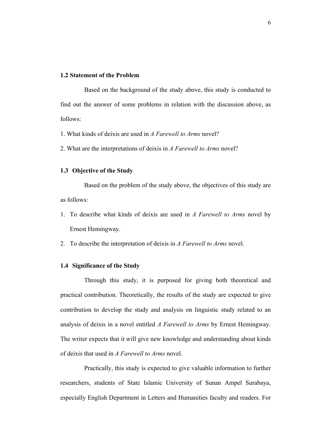# **1.2 Statement of the Problem**

Based on the background of the study above, this study is conducted to find out the answer of some problems in relation with the discussion above, as follows:

- 1. What kinds of deixis are used in *A Farewell to Arms* novel?
- 2. What are the interpretations of deixis in *A Farewell to Arms* novel?

#### **1.3 Objective of the Study**

Based on the problem of the study above, the objectives of this study are as follows:

- 1. To describe what kinds of deixis are used in *A Farewell to Arms* novel by Ernest Hemingway.
- 2. To describe the interpretation of deixis in *A Farewell to Arms* novel.

# **1.4 Significance of the Study**

Through this study, it is purposed for giving both theoretical and practical contribution. Theoretically, the results of the study are expected to give contribution to develop the study and analysis on linguistic study related to an analysis of deixis in a novel entitled *A Farewell to Arms* by Ernest Hemingway. The writer expects that it will give new knowledge and understanding about kinds of deixis that used in *A Farewell to Arms* novel.

Practically, this study is expected to give valuable information to further researchers, students of State Islamic University of Sunan Ampel Surabaya, especially English Department in Letters and Humanities faculty and readers. For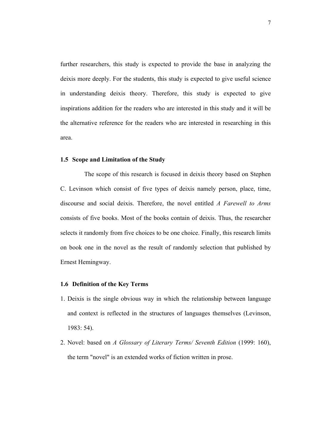further researchers, this study is expected to provide the base in analyzing the deixis more deeply. For the students, this study is expected to give useful science in understanding deixis theory. Therefore, this study is expected to give inspirations addition for the readers who are interested in this study and it will be the alternative reference for the readers who are interested in researching in this area.

# **1.5 Scope and Limitation of the Study**

The scope of this research is focused in deixis theory based on Stephen C. Levinson which consist of five types of deixis namely person, place, time, discourse and social deixis. Therefore, the novel entitled *A Farewell to Arms* consists of five books. Most of the books contain of deixis. Thus, the researcher selects it randomly from five choices to be one choice. Finally, this research limits on book one in the novel as the result of randomly selection that published by Ernest Hemingway.

## **1.6 Definition of the Key Terms**

- 1. Deixis is the single obvious way in which the relationship between language and context is reflected in the structures of languages themselves (Levinson, 1983: 54).
- 2. Novel: based on *A Glossary of Literary Terms/ Seventh Edition* (1999: 160), the term "novel" is an extended works of fiction written in prose.